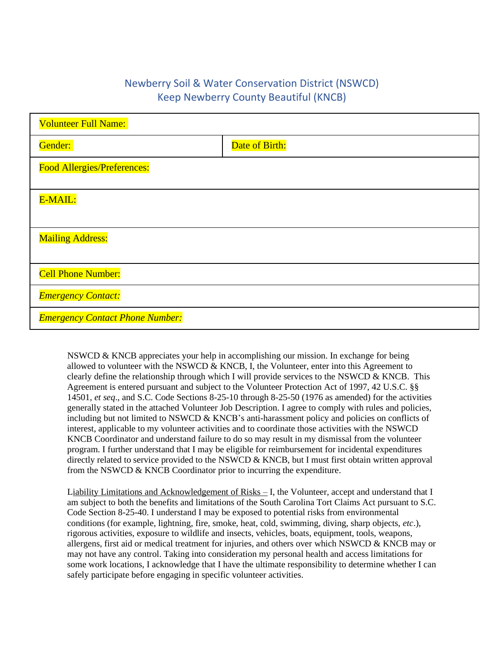## Newberry Soil & Water Conservation District (NSWCD) Keep Newberry County Beautiful (KNCB)

| <b>Volunteer Full Name:</b>            |                |
|----------------------------------------|----------------|
| Gender:                                | Date of Birth: |
| <b>Food Allergies/Preferences:</b>     |                |
| E-MAIL:                                |                |
| <b>Mailing Address:</b>                |                |
| <b>Cell Phone Number:</b>              |                |
| <b>Emergency Contact:</b>              |                |
| <b>Emergency Contact Phone Number:</b> |                |

NSWCD & KNCB appreciates your help in accomplishing our mission. In exchange for being allowed to volunteer with the NSWCD  $\&$  KNCB, I, the Volunteer, enter into this Agreement to clearly define the relationship through which I will provide services to the NSWCD  $\&$  KNCB. This Agreement is entered pursuant and subject to the Volunteer Protection Act of 1997, 42 U.S.C. §§ 14501, *et seq*., and S.C. Code Sections 8-25-10 through 8-25-50 (1976 as amended) for the activities generally stated in the attached Volunteer Job Description. I agree to comply with rules and policies, including but not limited to NSWCD & KNCB's anti-harassment policy and policies on conflicts of interest, applicable to my volunteer activities and to coordinate those activities with the NSWCD KNCB Coordinator and understand failure to do so may result in my dismissal from the volunteer program. I further understand that I may be eligible for reimbursement for incidental expenditures directly related to service provided to the NSWCD  $\&$  KNCB, but I must first obtain written approval from the NSWCD & KNCB Coordinator prior to incurring the expenditure.

Liability Limitations and Acknowledgement of Risks – I, the Volunteer, accept and understand that I am subject to both the benefits and limitations of the South Carolina Tort Claims Act pursuant to S.C. Code Section 8-25-40. I understand I may be exposed to potential risks from environmental conditions (for example, lightning, fire, smoke, heat, cold, swimming, diving, sharp objects, *etc*.), rigorous activities, exposure to wildlife and insects, vehicles, boats, equipment, tools, weapons, allergens, first aid or medical treatment for injuries, and others over which NSWCD  $\&$  KNCB may or may not have any control. Taking into consideration my personal health and access limitations for some work locations, I acknowledge that I have the ultimate responsibility to determine whether I can safely participate before engaging in specific volunteer activities.